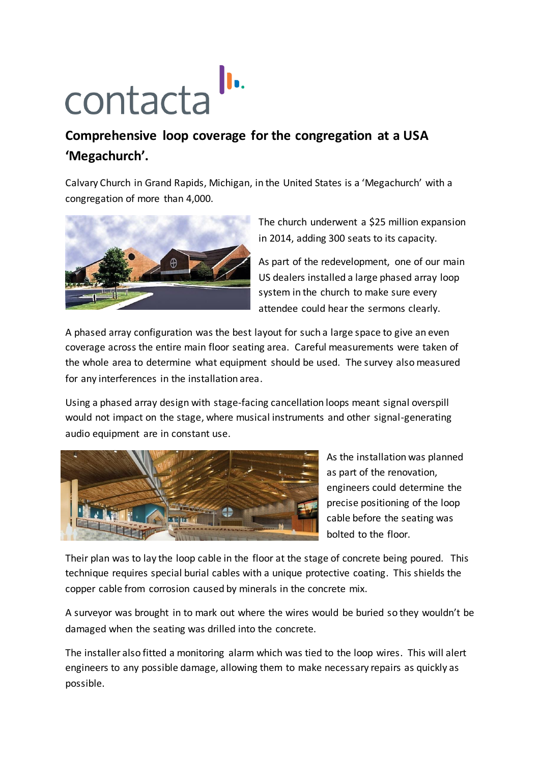## **CONTERCTER ID.**<br> **CONTERCTER**<br> **CONTERCTER CONTERCTER**<br> **CONTERCTER ID.**<br> **CONTERCTER**

## **'Megachurch'.**

Calvary Church in Grand Rapids, Michigan, in the United States is a 'Megachurch' with a congregation of more than 4,000.



The church underwent a \$25 million expansion in 2014, adding 300 seats to its capacity.

As part of the redevelopment, one of our main US dealers installed a large phased array loop system in the church to make sure every attendee could hear the sermons clearly.

A phased array configuration was the best layout for such a large space to give an even coverage across the entire main floor seating area. Careful measurements were taken of the whole area to determine what equipment should be used. The survey also measured for any interferences in the installation area.

Using a phased array design with stage-facing cancellation loops meant signal overspill would not impact on the stage, where musical instruments and other signal-generating audio equipment are in constant use.



As the installation was planned as part of the renovation, engineers could determine the precise positioning of the loop cable before the seating was bolted to the floor.

Their plan was to lay the loop cable in the floor at the stage of concrete being poured. This technique requires special burial cables with a unique protective coating. This shields the copper cable from corrosion caused by minerals in the concrete mix.

A surveyor was brought in to mark out where the wires would be buried so they wouldn't be damaged when the seating was drilled into the concrete.

The installer also fitted a monitoring alarm which was tied to the loop wires. This will alert engineers to any possible damage, allowing them to make necessary repairs as quickly as possible.